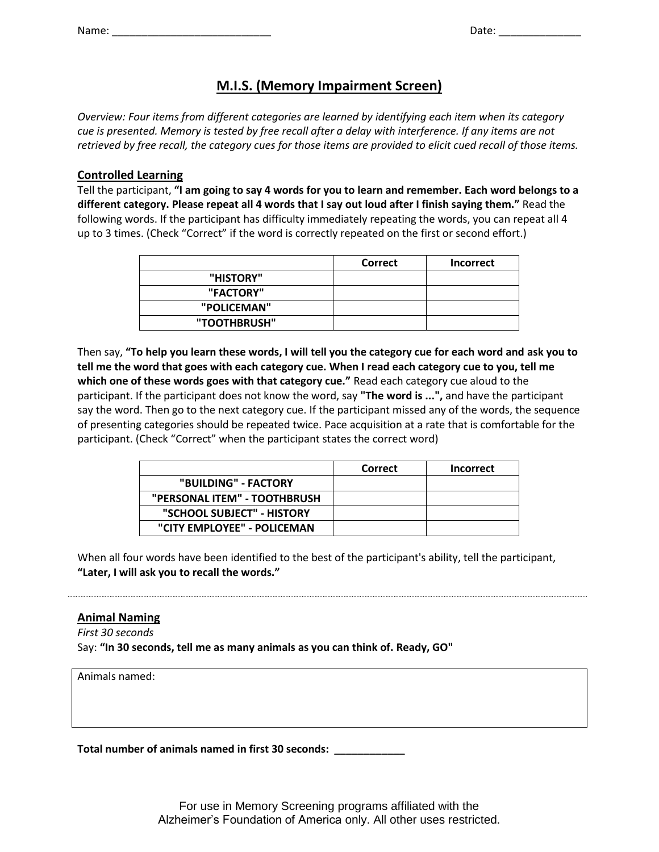| Name: |  |
|-------|--|

Name: \_\_\_\_\_\_\_\_\_\_\_\_\_\_\_\_\_\_\_\_\_\_\_\_\_\_\_ Date: \_\_\_\_\_\_\_\_\_\_\_\_\_\_

# **M.I.S. (Memory Impairment Screen)**

*Overview: Four items from different categories are learned by identifying each item when its category cue is presented. Memory is tested by free recall after a delay with interference. If any items are not retrieved by free recall, the category cues for those items are provided to elicit cued recall of those items.*

## **Controlled Learning**

Tell the participant, **"I am going to say 4 words for you to learn and remember. Each word belongs to a different category. Please repeat all 4 words that I say out loud after I finish saying them."** Read the following words. If the participant has difficulty immediately repeating the words, you can repeat all 4 up to 3 times. (Check "Correct" if the word is correctly repeated on the first or second effort.)

|              | Correct | <b>Incorrect</b> |
|--------------|---------|------------------|
| "HISTORY"    |         |                  |
| "FACTORY"    |         |                  |
| "POLICEMAN"  |         |                  |
| "TOOTHBRUSH" |         |                  |

Then say, **"To help you learn these words, I will tell you the category cue for each word and ask you to tell me the word that goes with each category cue. When I read each category cue to you, tell me which one of these words goes with that category cue."** Read each category cue aloud to the participant. If the participant does not know the word, say **"The word is ...",** and have the participant say the word. Then go to the next category cue. If the participant missed any of the words, the sequence of presenting categories should be repeated twice. Pace acquisition at a rate that is comfortable for the participant. (Check "Correct" when the participant states the correct word)

|                              | Correct | <b>Incorrect</b> |
|------------------------------|---------|------------------|
| "BUILDING" - FACTORY         |         |                  |
| "PERSONAL ITEM" - TOOTHBRUSH |         |                  |
| "SCHOOL SUBJECT" - HISTORY   |         |                  |
| "CITY EMPLOYEE" - POLICEMAN  |         |                  |

When all four words have been identified to the best of the participant's ability, tell the participant, **"Later, I will ask you to recall the words."**

## **Animal Naming**

*First 30 seconds* Say: **"In 30 seconds, tell me as many animals as you can think of. Ready, GO"**

Animals named:

**Total number of animals named in first 30 seconds: \_\_\_\_\_\_\_\_\_\_\_\_**

For use in Memory Screening programs affiliated with the Alzheimer's Foundation of America only. All other uses restricted.